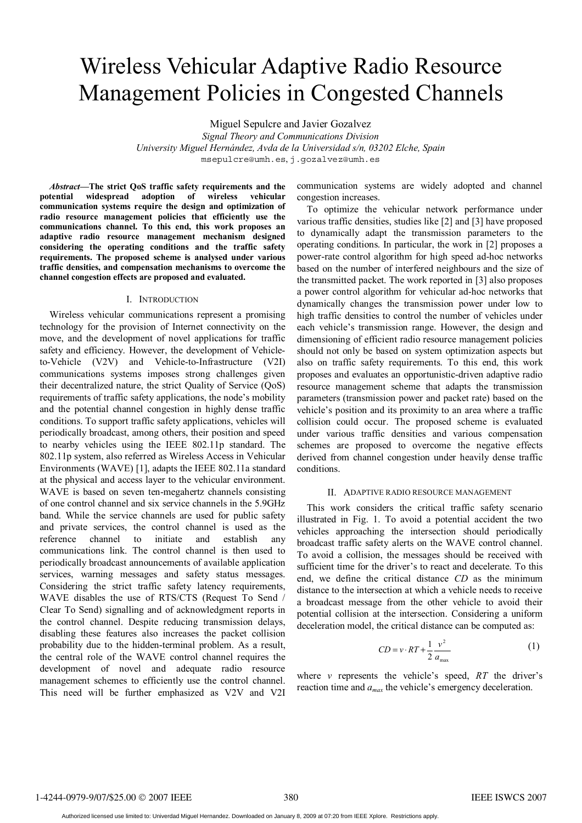# Wireless Vehicular Adaptive Radio Resource Management Policies in Congested Channels

Miguel Sepulcre and Javier Gozalvez

*Signal Theory and Communications Division University Miguel Hernández, Avda de la Universidad s/n, 03202 Elche, Spain*  msepulcre@umh.es, j.gozalvez@umh.es

*Abstract***—The strict QoS traffic safety requirements and the potential widespread adoption of wireless vehicular communication systems require the design and optimization of radio resource management policies that efficiently use the communications channel. To this end, this work proposes an adaptive radio resource management mechanism designed considering the operating conditions and the traffic safety requirements. The proposed scheme is analysed under various traffic densities, and compensation mechanisms to overcome the channel congestion effects are proposed and evaluated.** 

# I. INTRODUCTION

Wireless vehicular communications represent a promising technology for the provision of Internet connectivity on the move, and the development of novel applications for traffic safety and efficiency. However, the development of Vehicleto-Vehicle (V2V) and Vehicle-to-Infrastructure (V2I) communications systems imposes strong challenges given their decentralized nature, the strict Quality of Service (QoS) requirements of traffic safety applications, the node's mobility and the potential channel congestion in highly dense traffic conditions. To support traffic safety applications, vehicles will periodically broadcast, among others, their position and speed to nearby vehicles using the IEEE 802.11p standard. The 802.11p system, also referred as Wireless Access in Vehicular Environments (WAVE) [1], adapts the IEEE 802.11a standard at the physical and access layer to the vehicular environment. WAVE is based on seven ten-megahertz channels consisting of one control channel and six service channels in the 5.9GHz band. While the service channels are used for public safety and private services, the control channel is used as the reference channel to initiate and establish any communications link. The control channel is then used to periodically broadcast announcements of available application services, warning messages and safety status messages. Considering the strict traffic safety latency requirements, WAVE disables the use of RTS/CTS (Request To Send / Clear To Send) signalling and of acknowledgment reports in the control channel. Despite reducing transmission delays, disabling these features also increases the packet collision probability due to the hidden-terminal problem. As a result, the central role of the WAVE control channel requires the development of novel and adequate radio resource management schemes to efficiently use the control channel. This need will be further emphasized as V2V and V2I

communication systems are widely adopted and channel congestion increases.

To optimize the vehicular network performance under various traffic densities, studies like [2] and [3] have proposed to dynamically adapt the transmission parameters to the operating conditions. In particular, the work in [2] proposes a power-rate control algorithm for high speed ad-hoc networks based on the number of interfered neighbours and the size of the transmitted packet. The work reported in [3] also proposes a power control algorithm for vehicular ad-hoc networks that dynamically changes the transmission power under low to high traffic densities to control the number of vehicles under each vehicle's transmission range. However, the design and dimensioning of efficient radio resource management policies should not only be based on system optimization aspects but also on traffic safety requirements. To this end, this work proposes and evaluates an opportunistic-driven adaptive radio resource management scheme that adapts the transmission parameters (transmission power and packet rate) based on the vehicle's position and its proximity to an area where a traffic collision could occur. The proposed scheme is evaluated under various traffic densities and various compensation schemes are proposed to overcome the negative effects derived from channel congestion under heavily dense traffic conditions.

#### II. ADAPTIVE RADIO RESOURCE MANAGEMENT

This work considers the critical traffic safety scenario illustrated in Fig. 1. To avoid a potential accident the two vehicles approaching the intersection should periodically broadcast traffic safety alerts on the WAVE control channel. To avoid a collision, the messages should be received with sufficient time for the driver's to react and decelerate. To this end, we define the critical distance *CD* as the minimum distance to the intersection at which a vehicle needs to receive a broadcast message from the other vehicle to avoid their potential collision at the intersection. Considering a uniform deceleration model, the critical distance can be computed as:

$$
CD = v \cdot RT + \frac{1}{2} \frac{v^2}{a_{\text{max}}} \tag{1}
$$

where *v* represents the vehicle's speed, *RT* the driver's reaction time and *amax* the vehicle's emergency deceleration.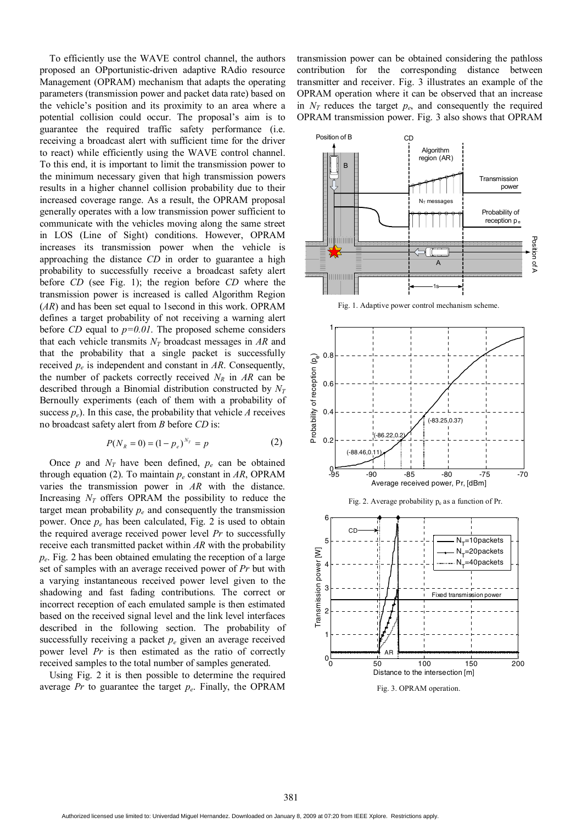To efficiently use the WAVE control channel, the authors proposed an OPportunistic-driven adaptive RAdio resource Management (OPRAM) mechanism that adapts the operating parameters (transmission power and packet data rate) based on the vehicle's position and its proximity to an area where a potential collision could occur. The proposal's aim is to guarantee the required traffic safety performance (i.e. receiving a broadcast alert with sufficient time for the driver to react) while efficiently using the WAVE control channel. To this end, it is important to limit the transmission power to the minimum necessary given that high transmission powers results in a higher channel collision probability due to their increased coverage range. As a result, the OPRAM proposal generally operates with a low transmission power sufficient to communicate with the vehicles moving along the same street in LOS (Line of Sight) conditions. However, OPRAM increases its transmission power when the vehicle is approaching the distance *CD* in order to guarantee a high probability to successfully receive a broadcast safety alert before *CD* (see Fig. 1); the region before *CD* where the transmission power is increased is called Algorithm Region (*AR*) and has been set equal to 1second in this work. OPRAM defines a target probability of not receiving a warning alert before *CD* equal to *p=0.01*. The proposed scheme considers that each vehicle transmits  $N_T$  broadcast messages in  $AR$  and that the probability that a single packet is successfully received *pe* is independent and constant in *AR*. Consequently, the number of packets correctly received  $N_R$  in  $AR$  can be described through a Binomial distribution constructed by *NT* Bernoully experiments (each of them with a probability of success  $p_e$ ). In this case, the probability that vehicle *A* receives no broadcast safety alert from *B* before *CD* is:

$$
P(N_R = 0) = (1 - p_e)^{N_T} = p \tag{2}
$$

Once  $p$  and  $N_T$  have been defined,  $p_e$  can be obtained through equation (2). To maintain  $p_e$  constant in  $AR$ , OPRAM varies the transmission power in *AR* with the distance. Increasing  $N_T$  offers OPRAM the possibility to reduce the target mean probability  $p_e$  and consequently the transmission power. Once  $p_e$  has been calculated, Fig. 2 is used to obtain the required average received power level *Pr* to successfully receive each transmitted packet within *AR* with the probability *pe*. Fig. 2 has been obtained emulating the reception of a large set of samples with an average received power of *Pr* but with a varying instantaneous received power level given to the shadowing and fast fading contributions. The correct or incorrect reception of each emulated sample is then estimated based on the received signal level and the link level interfaces described in the following section. The probability of successfully receiving a packet  $p_e$  given an average received power level *Pr* is then estimated as the ratio of correctly received samples to the total number of samples generated.

Using Fig. 2 it is then possible to determine the required average *Pr* to guarantee the target *pe*. Finally, the OPRAM

transmission power can be obtained considering the pathloss contribution for the corresponding distance between transmitter and receiver. Fig. 3 illustrates an example of the OPRAM operation where it can be observed that an increase in  $N_T$  reduces the target  $p_e$ , and consequently the required OPRAM transmission power. Fig. 3 also shows that OPRAM



Fig. 3. OPRAM operation.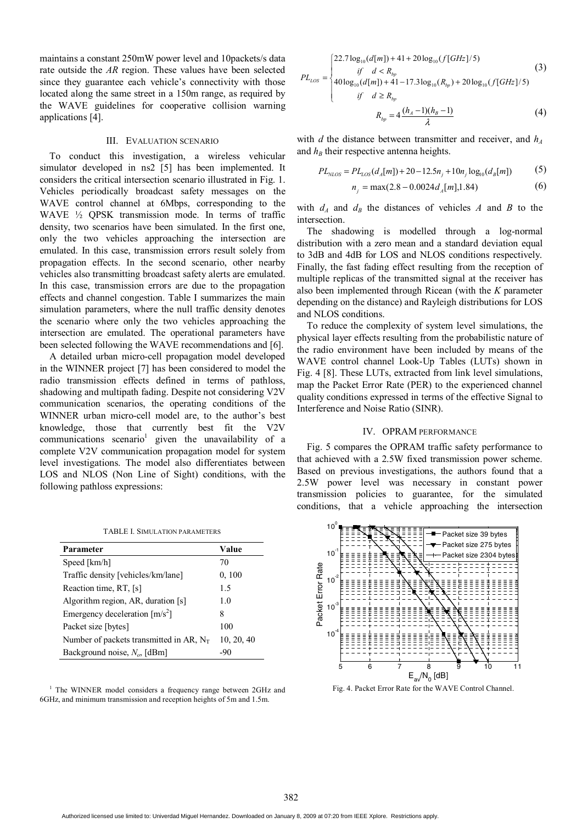maintains a constant 250mW power level and 10packets/s data rate outside the *AR* region. These values have been selected since they guarantee each vehicle's connectivity with those located along the same street in a 150m range, as required by the WAVE guidelines for cooperative collision warning applications [4].

### III. EVALUATION SCENARIO

To conduct this investigation, a wireless vehicular simulator developed in ns2 [5] has been implemented. It considers the critical intersection scenario illustrated in Fig. 1. Vehicles periodically broadcast safety messages on the WAVE control channel at 6Mbps, corresponding to the WAVE <sup>1/2</sup> QPSK transmission mode. In terms of traffic density, two scenarios have been simulated. In the first one, only the two vehicles approaching the intersection are emulated. In this case, transmission errors result solely from propagation effects. In the second scenario, other nearby vehicles also transmitting broadcast safety alerts are emulated. In this case, transmission errors are due to the propagation effects and channel congestion. Table I summarizes the main simulation parameters, where the null traffic density denotes the scenario where only the two vehicles approaching the intersection are emulated. The operational parameters have been selected following the WAVE recommendations and [6].

A detailed urban micro-cell propagation model developed in the WINNER project [7] has been considered to model the radio transmission effects defined in terms of pathloss, shadowing and multipath fading. Despite not considering V2V communication scenarios, the operating conditions of the WINNER urban micro-cell model are, to the author's best knowledge, those that currently best fit the V2V communications scenario<sup>1</sup> given the unavailability of a complete V2V communication propagation model for system level investigations. The model also differentiates between LOS and NLOS (Non Line of Sight) conditions, with the following pathloss expressions:

| <b>TABLE I. SIMULATION PARAMETERS</b> |
|---------------------------------------|
|---------------------------------------|

| Parameter                                  | Value      |
|--------------------------------------------|------------|
| Speed [km/h]                               | 70         |
| Traffic density [vehicles/km/lane]         | 0, 100     |
| Reaction time, RT, [s]                     | 1.5        |
| Algorithm region, AR, duration [s]         | 1.0        |
| Emergency deceleration $[m/s^2]$           | 8          |
| Packet size [bytes]                        | 100        |
| Number of packets transmitted in AR, $N_T$ | 10, 20, 40 |
| Background noise, $N_o$ , [dBm]            | -90        |

<sup>1</sup> The WINNER model considers a frequency range between 2GHz and 6GHz, and minimum transmission and reception heights of 5m and 1.5m.

$$
PL_{LOS} = \begin{cases} 22.7 \log_{10}(d[m]) + 41 + 20 \log_{10}(f[GHz]/5) & (3) \\ \text{if} \quad d < R_{bp} \\ 40 \log_{10}(d[m]) + 41 - 17.3 \log_{10}(R_{bp}) + 20 \log_{10}(f[GHz]/5) & \text{if} \quad d \ge R_{bp} \\ \text{if} \quad d \ge R_{bp} & R_{bp} = 4 \frac{(h_A - 1)(h_B - 1)}{\lambda} \end{cases} \tag{4}
$$

with  $d$  the distance between transmitter and receiver, and  $h_A$ and  $h_B$  their respective antenna heights.

$$
PL_{NLOS} = PL_{LOS}(d_A[m]) + 20 - 12.5n_j + 10n_j \log_{10}(d_B[m])
$$
 (5)

$$
n_j = \max(2.8 - 0.0024d_A[m], 1.84) \tag{6}
$$

with  $d_A$  and  $d_B$  the distances of vehicles *A* and *B* to the intersection.

The shadowing is modelled through a log-normal distribution with a zero mean and a standard deviation equal to 3dB and 4dB for LOS and NLOS conditions respectively. Finally, the fast fading effect resulting from the reception of multiple replicas of the transmitted signal at the receiver has also been implemented through Ricean (with the *K* parameter depending on the distance) and Rayleigh distributions for LOS and NLOS conditions.

To reduce the complexity of system level simulations, the physical layer effects resulting from the probabilistic nature of the radio environment have been included by means of the WAVE control channel Look-Up Tables (LUTs) shown in Fig. 4 [8]. These LUTs, extracted from link level simulations, map the Packet Error Rate (PER) to the experienced channel quality conditions expressed in terms of the effective Signal to Interference and Noise Ratio (SINR).

### IV. OPRAM PERFORMANCE

Fig. 5 compares the OPRAM traffic safety performance to that achieved with a 2.5W fixed transmission power scheme. Based on previous investigations, the authors found that a 2.5W power level was necessary in constant power transmission policies to guarantee, for the simulated conditions, that a vehicle approaching the intersection



Fig. 4. Packet Error Rate for the WAVE Control Channel.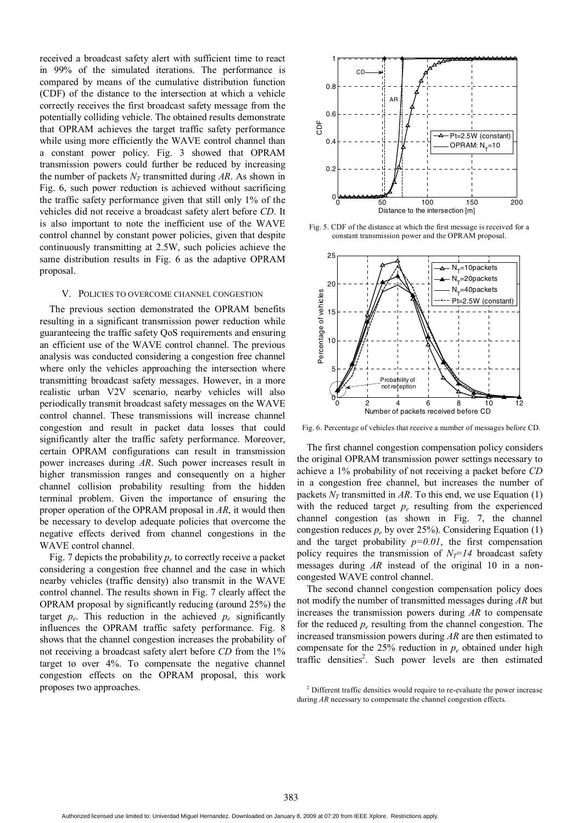received a broadcast safety alert with sufficient time to react in 99% of the simulated iterations. The performance is compared by means of the cumulative distribution function (CDF) of the distance to the intersection at which a vehicle correctly receives the first broadcast safety message from the potentially colliding vehicle. The obtained results demonstrate that OPRAM achieves the target traffic safety performance while using more efficiently the WAVE control channel than a constant power policy. Fig. 3 showed that OPRAM transmission powers could further be reduced by increasing the number of packets  $N_T$  transmitted during AR. As shown in Fig. 6, such power reduction is achieved without sacrificing the traffic safety performance given that still only 1% of the vehicles did not receive a broadcast safety alert before *CD*. It is also important to note the inefficient use of the WAVE control channel by constant power policies, given that despite continuously transmitting at 2.5W, such policies achieve the same distribution results in Fig. 6 as the adaptive OPRAM proposal.

#### V. POLICIES TO OVERCOME CHANNEL CONGESTION

The previous section demonstrated the OPRAM benefits resulting in a significant transmission power reduction while guaranteeing the traffic safety QoS requirements and ensuring an efficient use of the WAVE control channel. The previous analysis was conducted considering a congestion free channel where only the vehicles approaching the intersection where transmitting broadcast safety messages. However, in a more realistic urban V2V scenario, nearby vehicles will also periodically transmit broadcast safety messages on the WAVE control channel. These transmissions will increase channel congestion and result in packet data losses that could significantly alter the traffic safety performance. Moreover, certain OPRAM configurations can result in transmission power increases during *AR*. Such power increases result in higher transmission ranges and consequently on a higher channel collision probability resulting from the hidden terminal problem. Given the importance of ensuring the proper operation of the OPRAM proposal in *AR*, it would then be necessary to develop adequate policies that overcome the negative effects derived from channel congestions in the WAVE control channel.

Fig. 7 depicts the probability  $p_e$  to correctly receive a packet considering a congestion free channel and the case in which nearby vehicles (traffic density) also transmit in the WAVE control channel. The results shown in Fig. 7 clearly affect the OPRAM proposal by significantly reducing (around 25%) the target  $p_e$ . This reduction in the achieved  $p_e$  significantly influences the OPRAM traffic safety performance. Fig. 8 shows that the channel congestion increases the probability of not receiving a broadcast safety alert before *CD* from the 1% target to over 4%. To compensate the negative channel congestion effects on the OPRAM proposal, this work proposes two approaches.



Fig. 5. CDF of the distance at which the first message is received for a constant transmission power and the OPRAM proposal.



Fig. 6. Percentage of vehicles that receive a number of messages before CD.

The first channel congestion compensation policy considers the original OPRAM transmission power settings necessary to achieve a 1% probability of not receiving a packet before *CD* in a congestion free channel, but increases the number of packets  $N_T$  transmitted in AR. To this end, we use Equation (1) with the reduced target  $p_e$  resulting from the experienced channel congestion (as shown in Fig. 7, the channel congestion reduces  $p_e$  by over 25%). Considering Equation (1) and the target probability  $p=0.01$ , the first compensation policy requires the transmission of  $N_T=14$  broadcast safety messages during *AR* instead of the original 10 in a noncongested WAVE control channel.

The second channel congestion compensation policy does not modify the number of transmitted messages during *AR* but increases the transmission powers during *AR* to compensate for the reduced  $p_e$  resulting from the channel congestion. The increased transmission powers during *AR* are then estimated to compensate for the  $25\%$  reduction in  $p_e$  obtained under high traffic densities<sup>2</sup>. Such power levels are then estimated

 $2$  Different traffic densities would require to re-evaluate the power increase during AR necessary to compensate the channel congestion effects.